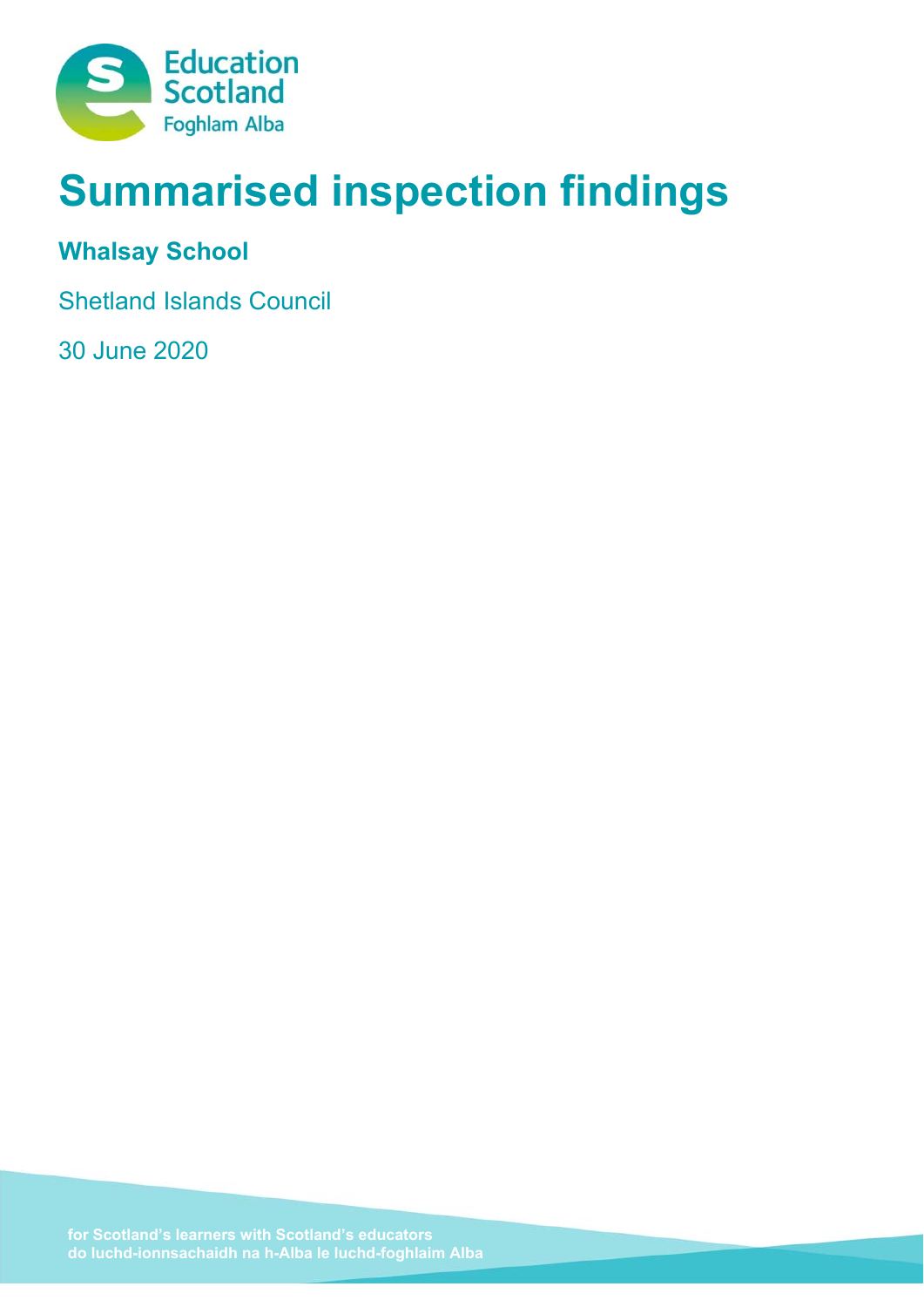

# **Summarised inspection findings**

# **Whalsay School**

Shetland Islands Council

30 June 2020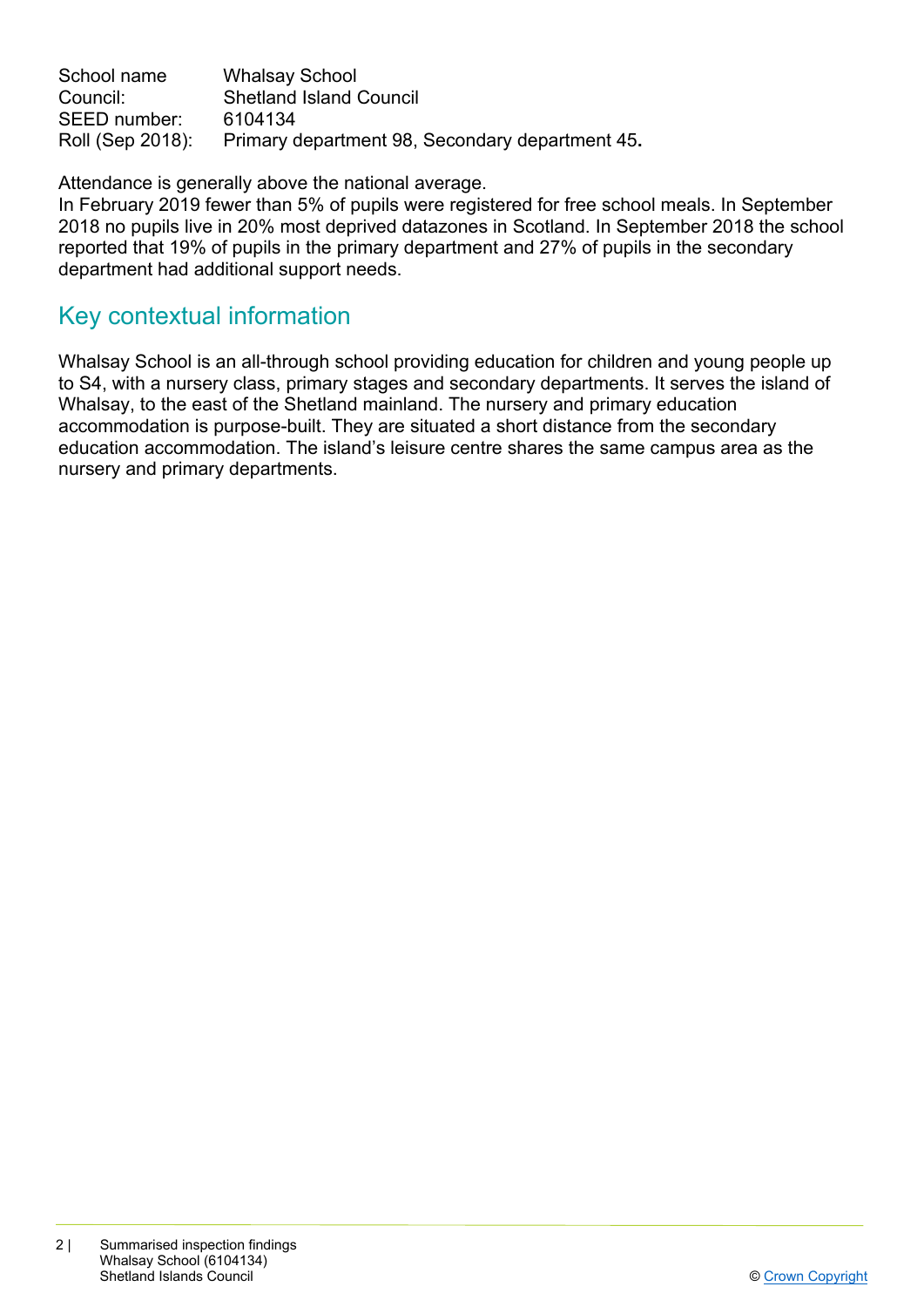School name Whalsay School Council: Shetland Island Council SEED number: 6104134 Roll (Sep 2018): Primary department 98, Secondary department 45**.** 

Attendance is generally above the national average.

In February 2019 fewer than 5% of pupils were registered for free school meals. In September 2018 no pupils live in 20% most deprived datazones in Scotland. In September 2018 the school reported that 19% of pupils in the primary department and 27% of pupils in the secondary department had additional support needs.

# Key contextual information

Whalsay School is an all-through school providing education for children and young people up to S4, with a nursery class, primary stages and secondary departments. It serves the island of Whalsay, to the east of the Shetland mainland. The nursery and primary education accommodation is purpose-built. They are situated a short distance from the secondary education accommodation. The island's leisure centre shares the same campus area as the nursery and primary departments.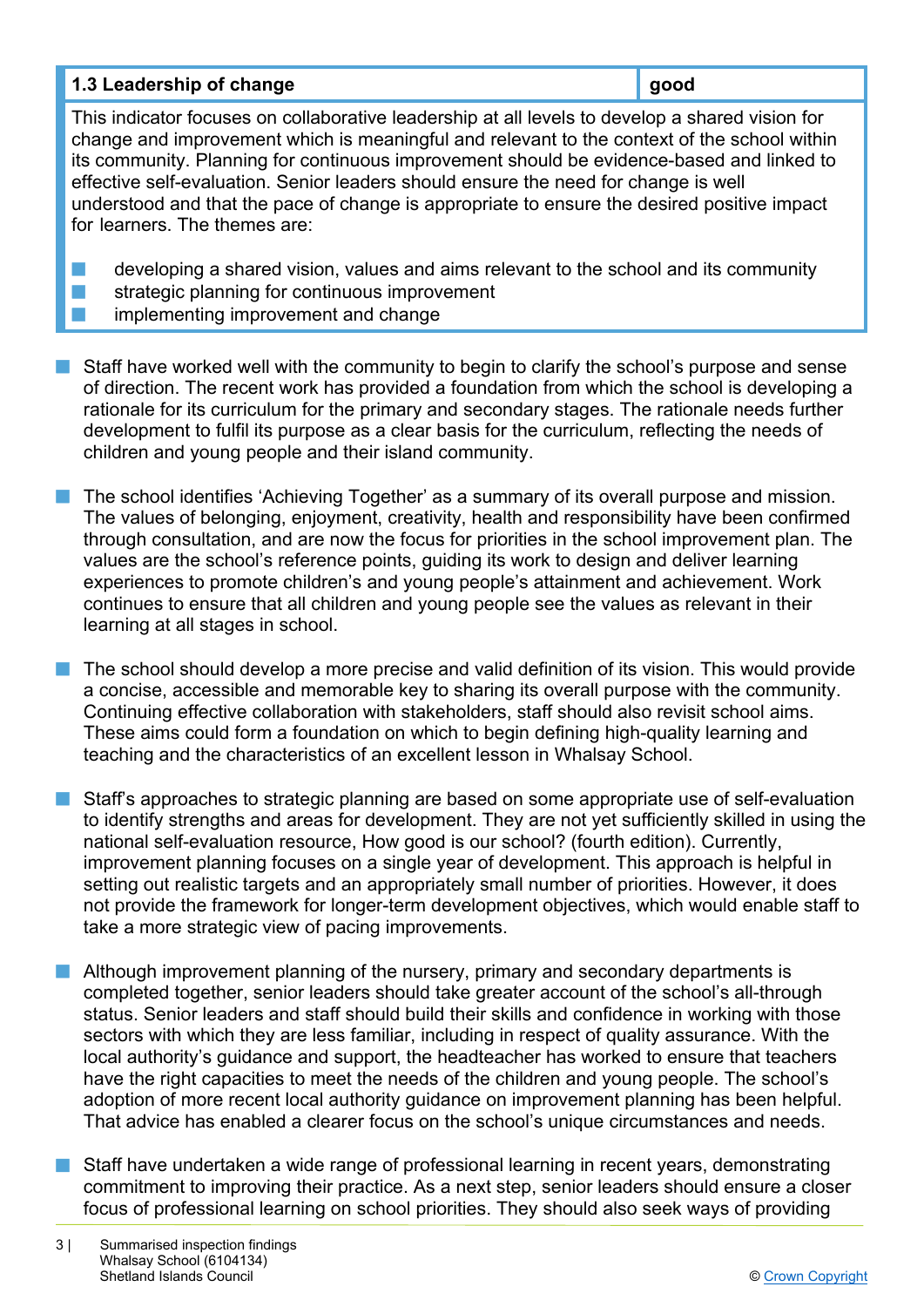| 1.3 Leadership of change | good |
|--------------------------|------|
|--------------------------|------|

This indicator focuses on collaborative leadership at all levels to develop a shared vision for change and improvement which is meaningful and relevant to the context of the school within its community. Planning for continuous improvement should be evidence-based and linked to effective self-evaluation. Senior leaders should ensure the need for change is well understood and that the pace of change is appropriate to ensure the desired positive impact for learners. The themes are:

- developing a shared vision, values and aims relevant to the school and its community  $\blacksquare$  strategic planning for continuous improvement
	- implementing improvement and change
- $\blacksquare$  Staff have worked well with the community to begin to clarify the school's purpose and sense of direction. The recent work has provided a foundation from which the school is developing a rationale for its curriculum for the primary and secondary stages. The rationale needs further development to fulfil its purpose as a clear basis for the curriculum, reflecting the needs of children and young people and their island community.
- n The school identifies 'Achieving Together' as a summary of its overall purpose and mission. The values of belonging, enjoyment, creativity, health and responsibility have been confirmed through consultation, and are now the focus for priorities in the school improvement plan. The values are the school's reference points, guiding its work to design and deliver learning experiences to promote children's and young people's attainment and achievement. Work continues to ensure that all children and young people see the values as relevant in their learning at all stages in school.
- $\blacksquare$  The school should develop a more precise and valid definition of its vision. This would provide a concise, accessible and memorable key to sharing its overall purpose with the community. Continuing effective collaboration with stakeholders, staff should also revisit school aims. These aims could form a foundation on which to begin defining high-quality learning and teaching and the characteristics of an excellent lesson in Whalsay School.
- n Staff's approaches to strategic planning are based on some appropriate use of self-evaluation to identify strengths and areas for development. They are not yet sufficiently skilled in using the national self-evaluation resource, How good is our school? (fourth edition). Currently, improvement planning focuses on a single year of development. This approach is helpful in setting out realistic targets and an appropriately small number of priorities. However, it does not provide the framework for longer-term development objectives, which would enable staff to take a more strategic view of pacing improvements.
- Although improvement planning of the nursery, primary and secondary departments is completed together, senior leaders should take greater account of the school's all-through status. Senior leaders and staff should build their skills and confidence in working with those sectors with which they are less familiar, including in respect of quality assurance. With the local authority's guidance and support, the headteacher has worked to ensure that teachers have the right capacities to meet the needs of the children and young people. The school's adoption of more recent local authority guidance on improvement planning has been helpful. That advice has enabled a clearer focus on the school's unique circumstances and needs.
- $\blacksquare$  Staff have undertaken a wide range of professional learning in recent years, demonstrating commitment to improving their practice. As a next step, senior leaders should ensure a closer focus of professional learning on school priorities. They should also seek ways of providing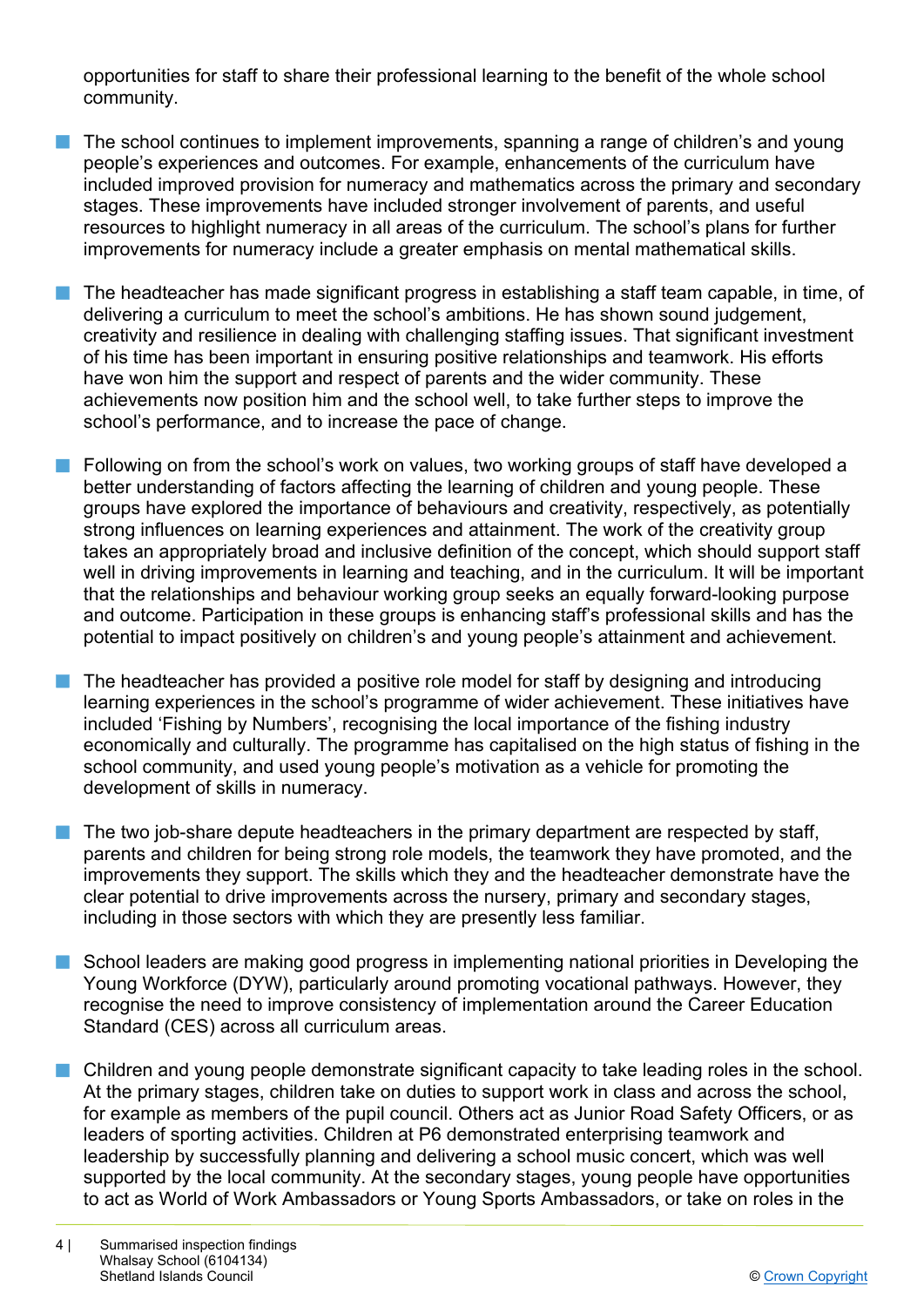opportunities for staff to share their professional learning to the benefit of the whole school community.

- $\blacksquare$  The school continues to implement improvements, spanning a range of children's and young people's experiences and outcomes. For example, enhancements of the curriculum have included improved provision for numeracy and mathematics across the primary and secondary stages. These improvements have included stronger involvement of parents, and useful resources to highlight numeracy in all areas of the curriculum. The school's plans for further improvements for numeracy include a greater emphasis on mental mathematical skills.
- $\blacksquare$  The headteacher has made significant progress in establishing a staff team capable, in time, of delivering a curriculum to meet the school's ambitions. He has shown sound judgement, creativity and resilience in dealing with challenging staffing issues. That significant investment of his time has been important in ensuring positive relationships and teamwork. His efforts have won him the support and respect of parents and the wider community. These achievements now position him and the school well, to take further steps to improve the school's performance, and to increase the pace of change.
- **n** Following on from the school's work on values, two working groups of staff have developed a better understanding of factors affecting the learning of children and young people. These groups have explored the importance of behaviours and creativity, respectively, as potentially strong influences on learning experiences and attainment. The work of the creativity group takes an appropriately broad and inclusive definition of the concept, which should support staff well in driving improvements in learning and teaching, and in the curriculum. It will be important that the relationships and behaviour working group seeks an equally forward-looking purpose and outcome. Participation in these groups is enhancing staff's professional skills and has the potential to impact positively on children's and young people's attainment and achievement.
- The headteacher has provided a positive role model for staff by designing and introducing learning experiences in the school's programme of wider achievement. These initiatives have included 'Fishing by Numbers', recognising the local importance of the fishing industry economically and culturally. The programme has capitalised on the high status of fishing in the school community, and used young people's motivation as a vehicle for promoting the development of skills in numeracy.
- The two job-share depute headteachers in the primary department are respected by staff, parents and children for being strong role models, the teamwork they have promoted, and the improvements they support. The skills which they and the headteacher demonstrate have the clear potential to drive improvements across the nursery, primary and secondary stages, including in those sectors with which they are presently less familiar.
- n School leaders are making good progress in implementing national priorities in Developing the Young Workforce (DYW), particularly around promoting vocational pathways. However, they recognise the need to improve consistency of implementation around the Career Education Standard (CES) across all curriculum areas.
- $\blacksquare$  Children and young people demonstrate significant capacity to take leading roles in the school. At the primary stages, children take on duties to support work in class and across the school, for example as members of the pupil council. Others act as Junior Road Safety Officers, or as leaders of sporting activities. Children at P6 demonstrated enterprising teamwork and leadership by successfully planning and delivering a school music concert, which was well supported by the local community. At the secondary stages, young people have opportunities to act as World of Work Ambassadors or Young Sports Ambassadors, or take on roles in the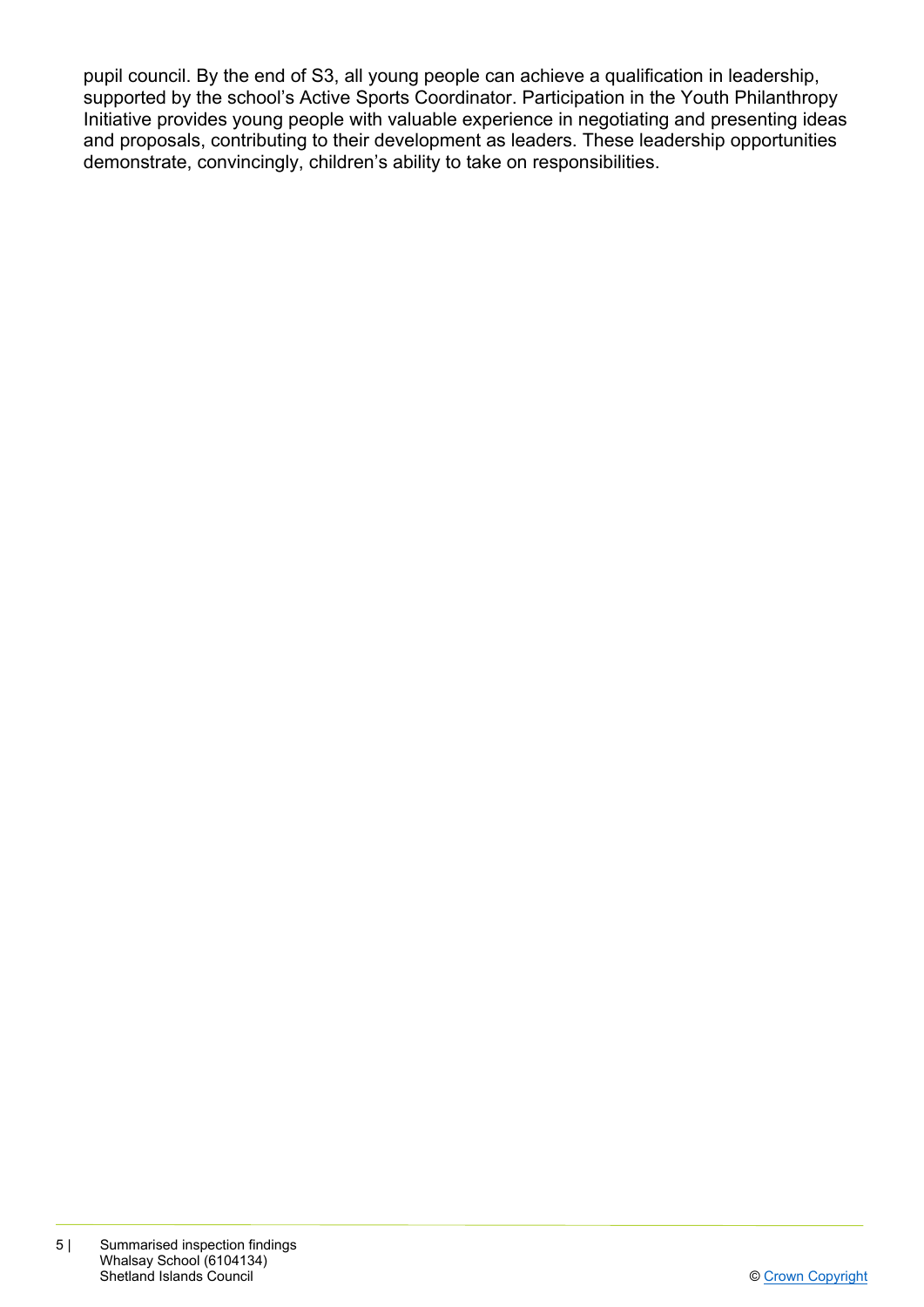pupil council. By the end of S3, all young people can achieve a qualification in leadership, supported by the school's Active Sports Coordinator. Participation in the Youth Philanthropy Initiative provides young people with valuable experience in negotiating and presenting ideas and proposals, contributing to their development as leaders. These leadership opportunities demonstrate, convincingly, children's ability to take on responsibilities.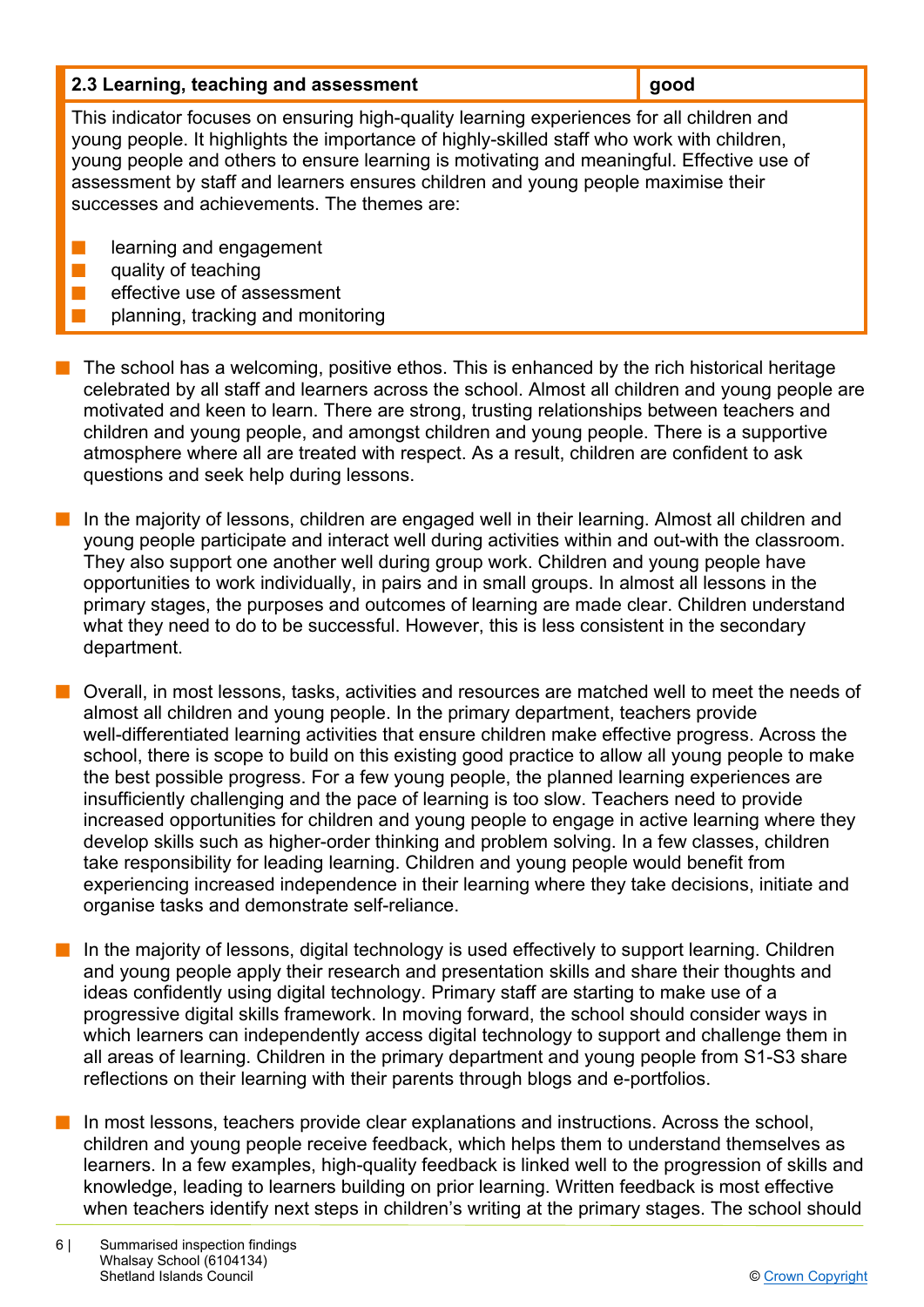| 2.3 Learning, teaching and assessment | $\vert$ good |
|---------------------------------------|--------------|
|                                       |              |

This indicator focuses on ensuring high-quality learning experiences for all children and young people. It highlights the importance of highly-skilled staff who work with children, young people and others to ensure learning is motivating and meaningful. Effective use of assessment by staff and learners ensures children and young people maximise their successes and achievements. The themes are:

- $\blacksquare$  learning and engagement
- $\blacksquare$  quality of teaching
	- effective use of assessment
	- planning, tracking and monitoring
- $\blacksquare$  The school has a welcoming, positive ethos. This is enhanced by the rich historical heritage celebrated by all staff and learners across the school. Almost all children and young people are motivated and keen to learn. There are strong, trusting relationships between teachers and children and young people, and amongst children and young people. There is a supportive atmosphere where all are treated with respect. As a result, children are confident to ask questions and seek help during lessons.
	- n In the majority of lessons, children are engaged well in their learning. Almost all children and young people participate and interact well during activities within and out-with the classroom. They also support one another well during group work. Children and young people have opportunities to work individually, in pairs and in small groups. In almost all lessons in the primary stages, the purposes and outcomes of learning are made clear. Children understand what they need to do to be successful. However, this is less consistent in the secondary department.
- **n** Overall, in most lessons, tasks, activities and resources are matched well to meet the needs of almost all children and young people. In the primary department, teachers provide well-differentiated learning activities that ensure children make effective progress. Across the school, there is scope to build on this existing good practice to allow all young people to make the best possible progress. For a few young people, the planned learning experiences are insufficiently challenging and the pace of learning is too slow. Teachers need to provide increased opportunities for children and young people to engage in active learning where they develop skills such as higher-order thinking and problem solving. In a few classes, children take responsibility for leading learning. Children and young people would benefit from experiencing increased independence in their learning where they take decisions, initiate and organise tasks and demonstrate self-reliance.
- n In the majority of lessons, digital technology is used effectively to support learning. Children and young people apply their research and presentation skills and share their thoughts and ideas confidently using digital technology. Primary staff are starting to make use of a progressive digital skills framework. In moving forward, the school should consider ways in which learners can independently access digital technology to support and challenge them in all areas of learning. Children in the primary department and young people from S1-S3 share reflections on their learning with their parents through blogs and e-portfolios.
- In most lessons, teachers provide clear explanations and instructions. Across the school, children and young people receive feedback, which helps them to understand themselves as learners. In a few examples, high-quality feedback is linked well to the progression of skills and knowledge, leading to learners building on prior learning. Written feedback is most effective when teachers identify next steps in children's writing at the primary stages. The school should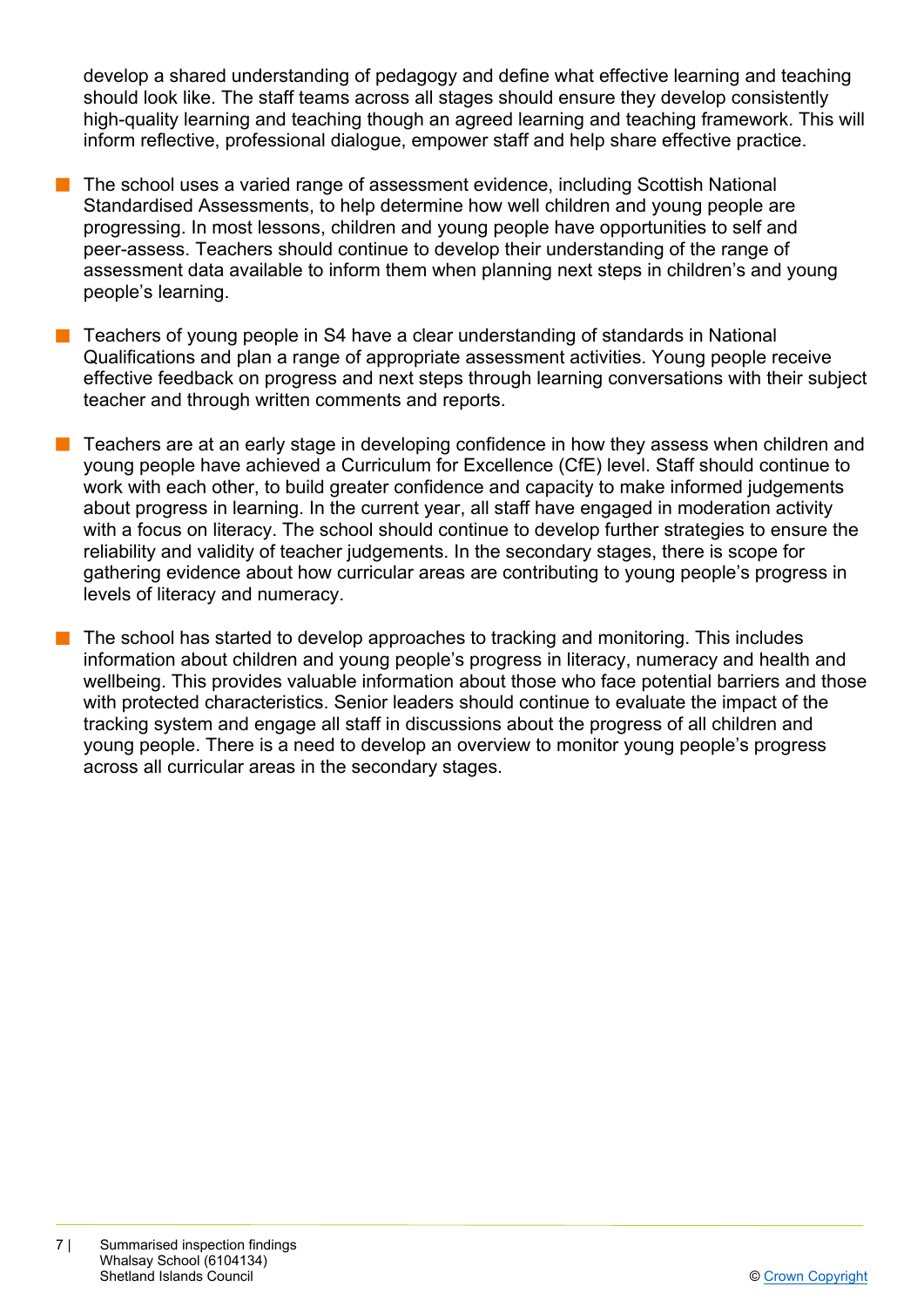develop a shared understanding of pedagogy and define what effective learning and teaching should look like. The staff teams across all stages should ensure they develop consistently high-quality learning and teaching though an agreed learning and teaching framework. This will inform reflective, professional dialogue, empower staff and help share effective practice.

- n The school uses a varied range of assessment evidence, including Scottish National Standardised Assessments, to help determine how well children and young people are progressing. In most lessons, children and young people have opportunities to self and peer-assess. Teachers should continue to develop their understanding of the range of assessment data available to inform them when planning next steps in children's and young people's learning.
- $\blacksquare$  Teachers of young people in S4 have a clear understanding of standards in National Qualifications and plan a range of appropriate assessment activities. Young people receive effective feedback on progress and next steps through learning conversations with their subject teacher and through written comments and reports.
- n Teachers are at an early stage in developing confidence in how they assess when children and young people have achieved a Curriculum for Excellence (CfE) level. Staff should continue to work with each other, to build greater confidence and capacity to make informed judgements about progress in learning. In the current year, all staff have engaged in moderation activity with a focus on literacy. The school should continue to develop further strategies to ensure the reliability and validity of teacher judgements. In the secondary stages, there is scope for gathering evidence about how curricular areas are contributing to young people's progress in levels of literacy and numeracy.
- $\blacksquare$  The school has started to develop approaches to tracking and monitoring. This includes information about children and young people's progress in literacy, numeracy and health and wellbeing. This provides valuable information about those who face potential barriers and those with protected characteristics. Senior leaders should continue to evaluate the impact of the tracking system and engage all staff in discussions about the progress of all children and young people. There is a need to develop an overview to monitor young people's progress across all curricular areas in the secondary stages.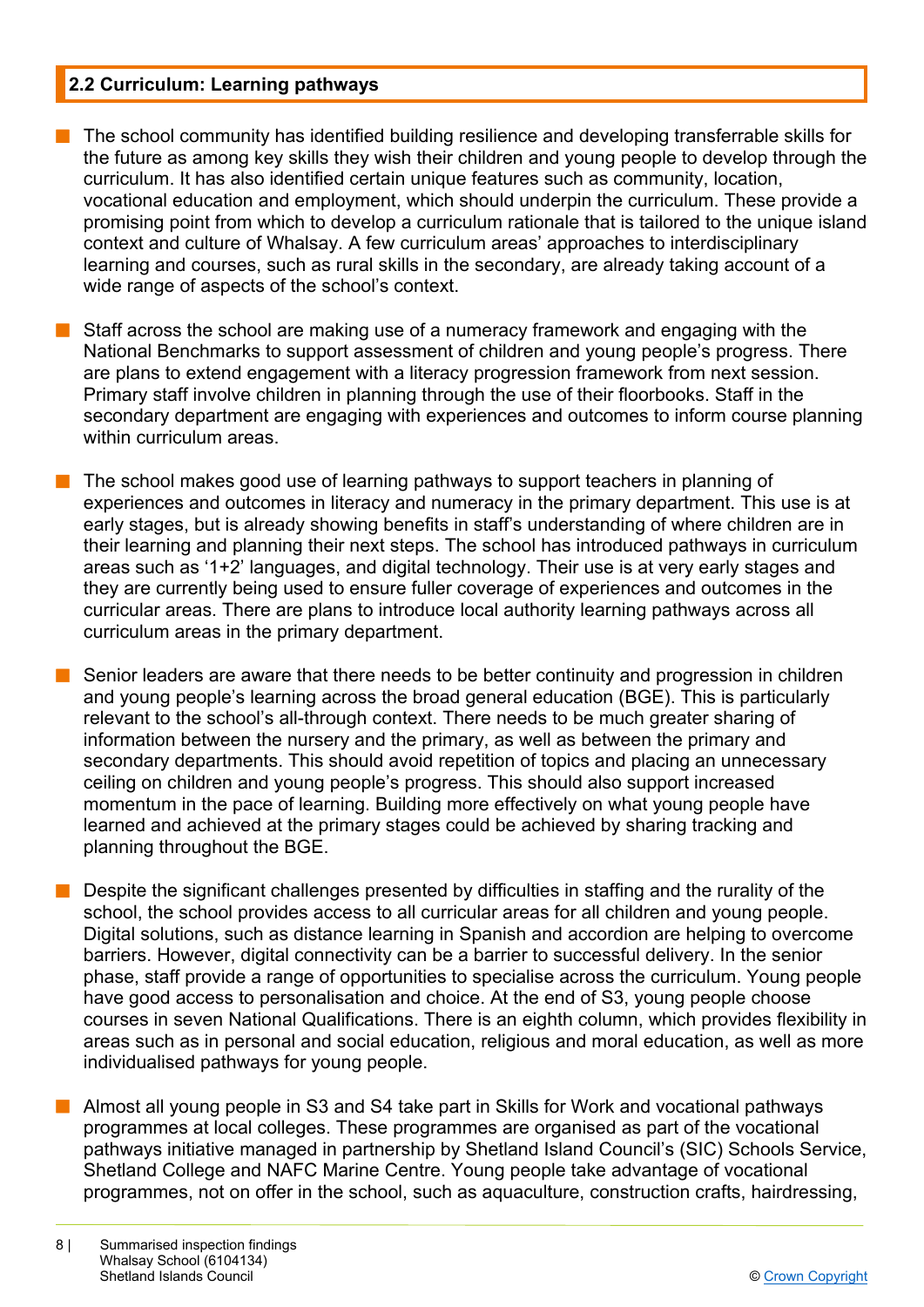## **2.2 Curriculum: Learning pathways**

- n The school community has identified building resilience and developing transferrable skills for the future as among key skills they wish their children and young people to develop through the curriculum. It has also identified certain unique features such as community, location, vocational education and employment, which should underpin the curriculum. These provide a promising point from which to develop a curriculum rationale that is tailored to the unique island context and culture of Whalsay. A few curriculum areas' approaches to interdisciplinary learning and courses, such as rural skills in the secondary, are already taking account of a wide range of aspects of the school's context.
- $\blacksquare$  Staff across the school are making use of a numeracy framework and engaging with the National Benchmarks to support assessment of children and young people's progress. There are plans to extend engagement with a literacy progression framework from next session. Primary staff involve children in planning through the use of their floorbooks. Staff in the secondary department are engaging with experiences and outcomes to inform course planning within curriculum areas.
- $\blacksquare$  The school makes good use of learning pathways to support teachers in planning of experiences and outcomes in literacy and numeracy in the primary department. This use is at early stages, but is already showing benefits in staff's understanding of where children are in their learning and planning their next steps. The school has introduced pathways in curriculum areas such as '1+2' languages, and digital technology. Their use is at very early stages and they are currently being used to ensure fuller coverage of experiences and outcomes in the curricular areas. There are plans to introduce local authority learning pathways across all curriculum areas in the primary department.
	- Senior leaders are aware that there needs to be better continuity and progression in children and young people's learning across the broad general education (BGE). This is particularly relevant to the school's all-through context. There needs to be much greater sharing of information between the nursery and the primary, as well as between the primary and secondary departments. This should avoid repetition of topics and placing an unnecessary ceiling on children and young people's progress. This should also support increased momentum in the pace of learning. Building more effectively on what young people have learned and achieved at the primary stages could be achieved by sharing tracking and planning throughout the BGE.
- $\blacksquare$  Despite the significant challenges presented by difficulties in staffing and the rurality of the school, the school provides access to all curricular areas for all children and young people. Digital solutions, such as distance learning in Spanish and accordion are helping to overcome barriers. However, digital connectivity can be a barrier to successful delivery. In the senior phase, staff provide a range of opportunities to specialise across the curriculum. Young people have good access to personalisation and choice. At the end of S3, young people choose courses in seven National Qualifications. There is an eighth column, which provides flexibility in areas such as in personal and social education, religious and moral education, as well as more individualised pathways for young people.
- n Almost all young people in S3 and S4 take part in Skills for Work and vocational pathways programmes at local colleges. These programmes are organised as part of the vocational pathways initiative managed in partnership by Shetland Island Council's (SIC) Schools Service, Shetland College and NAFC Marine Centre. Young people take advantage of vocational programmes, not on offer in the school, such as aquaculture, construction crafts, hairdressing,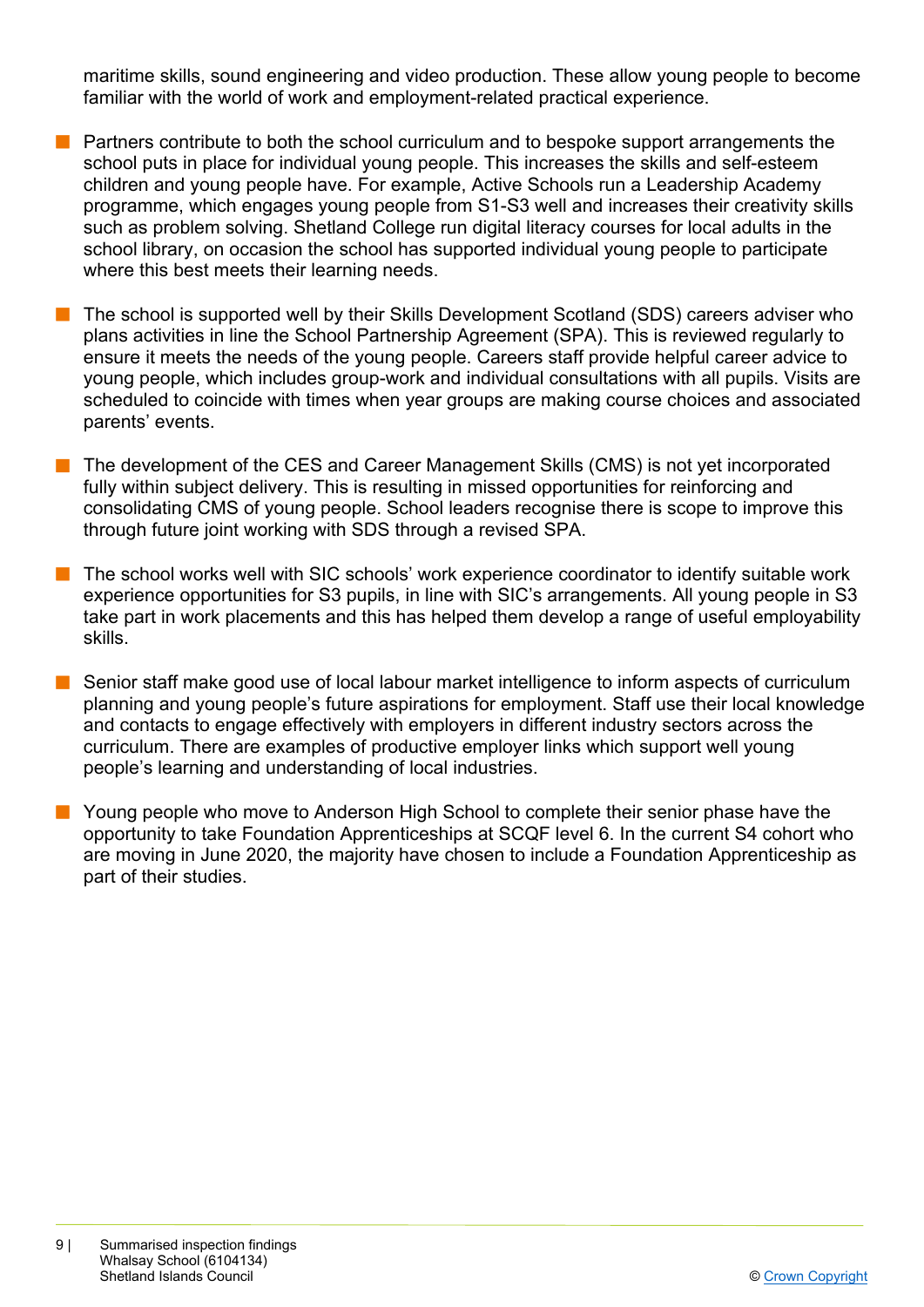maritime skills, sound engineering and video production. These allow young people to become familiar with the world of work and employment-related practical experience.

- $\blacksquare$  Partners contribute to both the school curriculum and to bespoke support arrangements the school puts in place for individual young people. This increases the skills and self-esteem children and young people have. For example, Active Schools run a Leadership Academy programme, which engages young people from S1-S3 well and increases their creativity skills such as problem solving. Shetland College run digital literacy courses for local adults in the school library, on occasion the school has supported individual young people to participate where this best meets their learning needs.
- The school is supported well by their Skills Development Scotland (SDS) careers adviser who plans activities in line the School Partnership Agreement (SPA). This is reviewed regularly to ensure it meets the needs of the young people. Careers staff provide helpful career advice to young people, which includes group-work and individual consultations with all pupils. Visits are scheduled to coincide with times when year groups are making course choices and associated parents' events.
- The development of the CES and Career Management Skills (CMS) is not yet incorporated fully within subject delivery. This is resulting in missed opportunities for reinforcing and consolidating CMS of young people. School leaders recognise there is scope to improve this through future joint working with SDS through a revised SPA.
- n The school works well with SIC schools' work experience coordinator to identify suitable work experience opportunities for S3 pupils, in line with SIC's arrangements. All young people in S3 take part in work placements and this has helped them develop a range of useful employability skills.
- Senior staff make good use of local labour market intelligence to inform aspects of curriculum planning and young people's future aspirations for employment. Staff use their local knowledge and contacts to engage effectively with employers in different industry sectors across the curriculum. There are examples of productive employer links which support well young people's learning and understanding of local industries.
- **n** Young people who move to Anderson High School to complete their senior phase have the opportunity to take Foundation Apprenticeships at SCQF level 6. In the current S4 cohort who are moving in June 2020, the majority have chosen to include a Foundation Apprenticeship as part of their studies.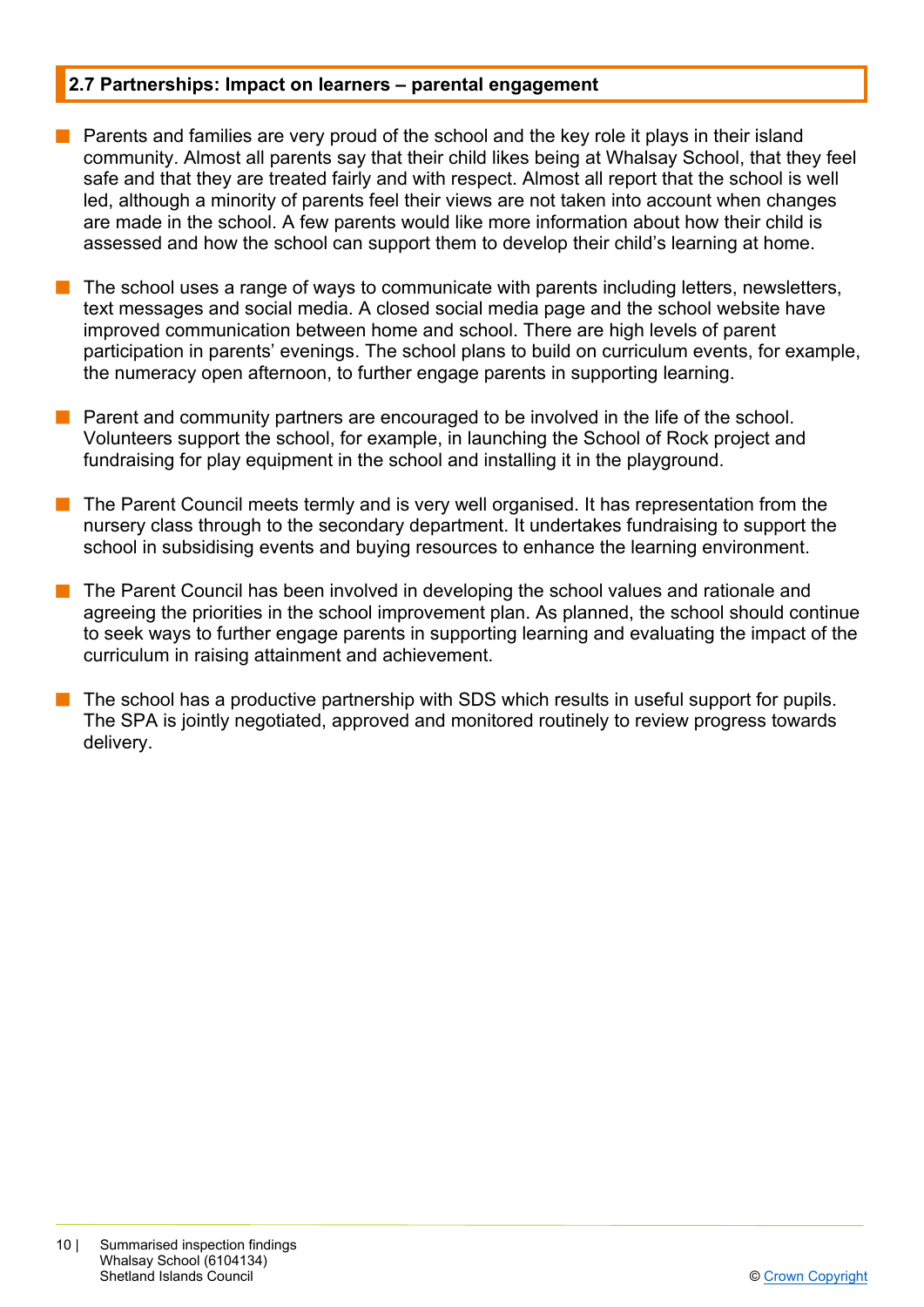#### **2.7 Partnerships: Impact on learners – parental engagement**

- $\blacksquare$  Parents and families are very proud of the school and the key role it plays in their island community. Almost all parents say that their child likes being at Whalsay School, that they feel safe and that they are treated fairly and with respect. Almost all report that the school is well led, although a minority of parents feel their views are not taken into account when changes are made in the school. A few parents would like more information about how their child is assessed and how the school can support them to develop their child's learning at home.
- The school uses a range of ways to communicate with parents including letters, newsletters, text messages and social media. A closed social media page and the school website have improved communication between home and school. There are high levels of parent participation in parents' evenings. The school plans to build on curriculum events, for example, the numeracy open afternoon, to further engage parents in supporting learning.
- n Parent and community partners are encouraged to be involved in the life of the school. Volunteers support the school, for example, in launching the School of Rock project and fundraising for play equipment in the school and installing it in the playground.
- n The Parent Council meets termly and is very well organised. It has representation from the nursery class through to the secondary department. It undertakes fundraising to support the school in subsidising events and buying resources to enhance the learning environment.
- The Parent Council has been involved in developing the school values and rationale and agreeing the priorities in the school improvement plan. As planned, the school should continue to seek ways to further engage parents in supporting learning and evaluating the impact of the curriculum in raising attainment and achievement.
- The school has a productive partnership with SDS which results in useful support for pupils. The SPA is jointly negotiated, approved and monitored routinely to review progress towards delivery.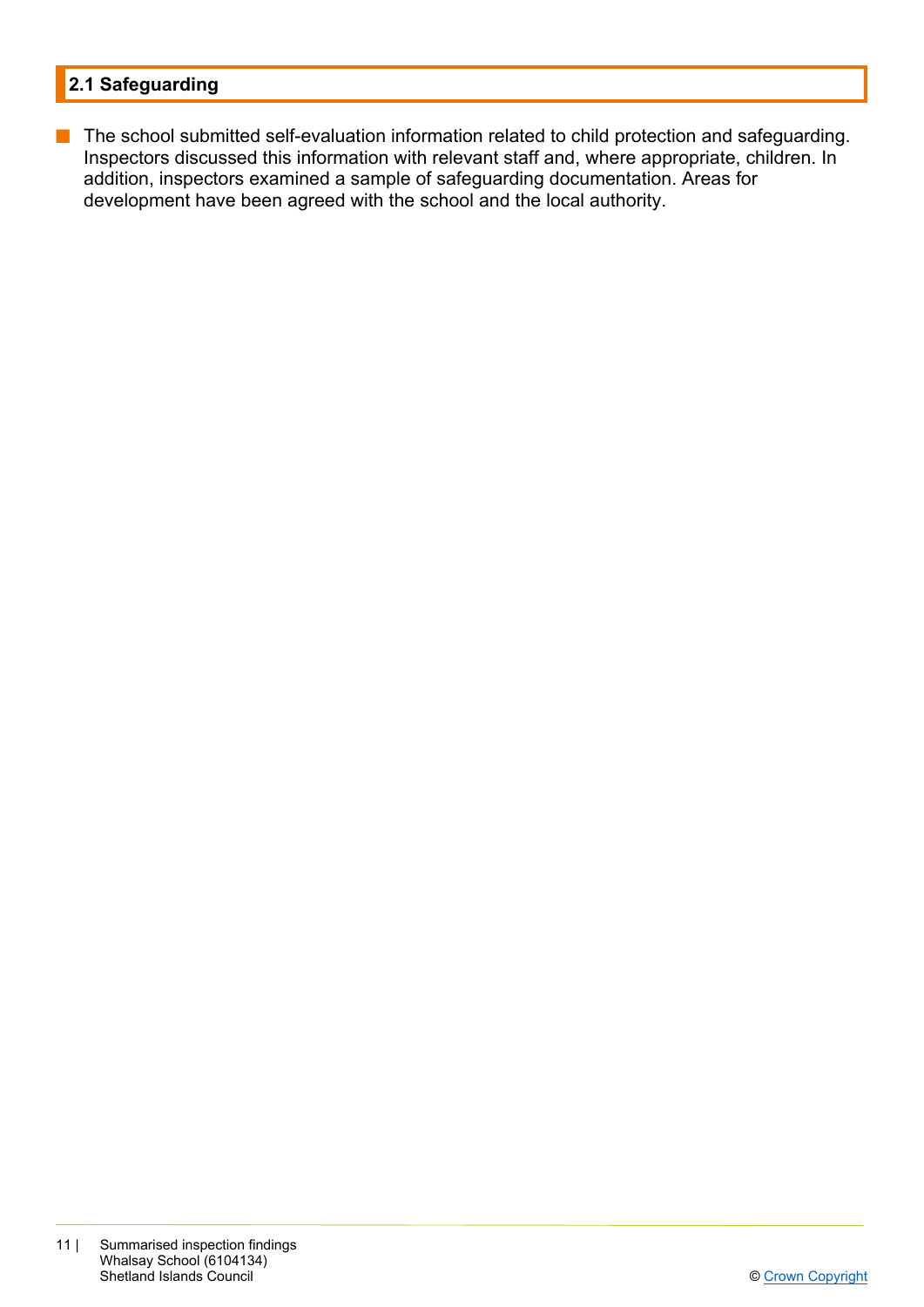# **2.1 Safeguarding**

**n** The school submitted self-evaluation information related to child protection and safeguarding. Inspectors discussed this information with relevant staff and, where appropriate, children. In addition, inspectors examined a sample of safeguarding documentation. Areas for development have been agreed with the school and the local authority.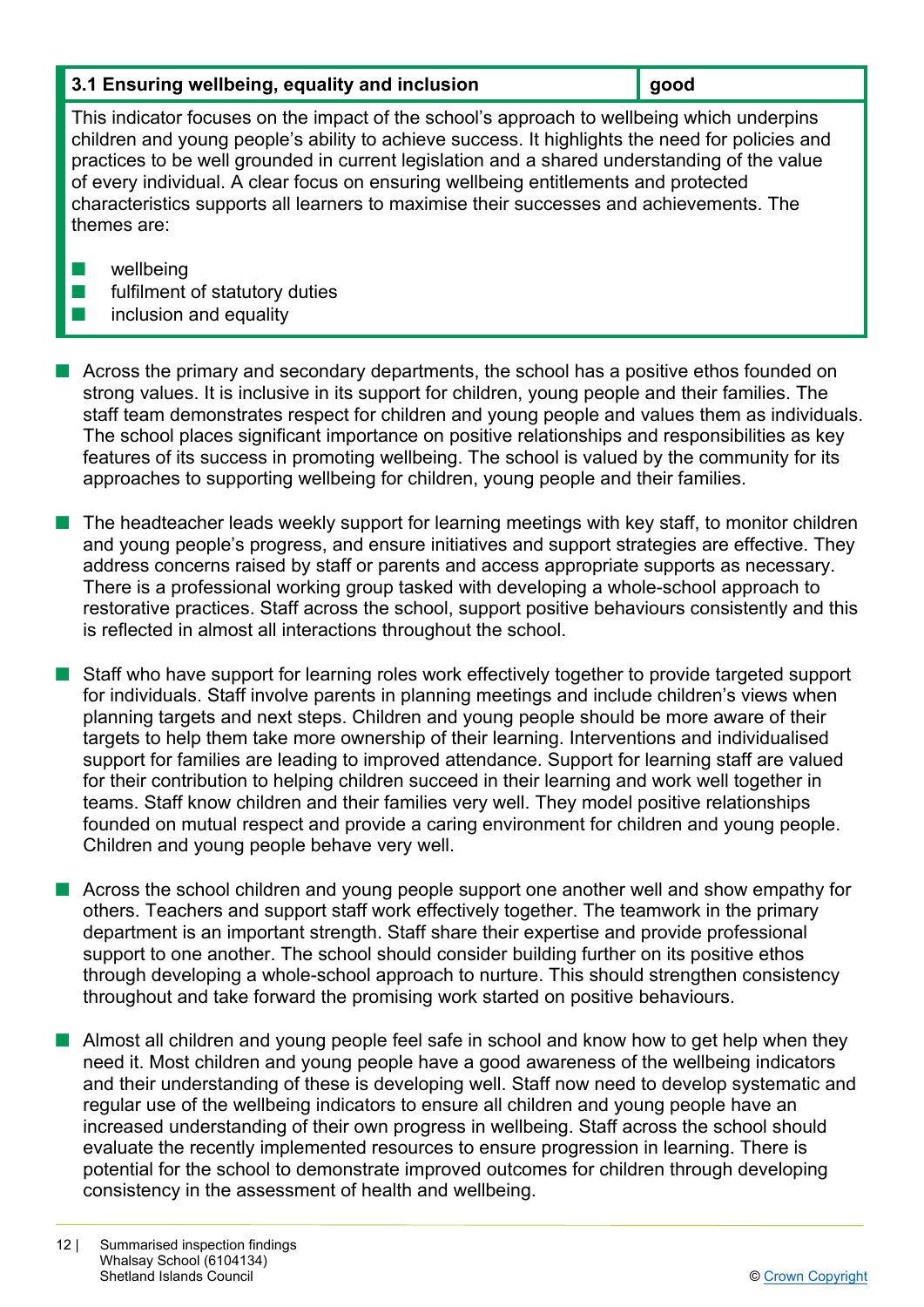## **3.1 Ensuring wellbeing, equality and inclusion inclusion** and **good**

This indicator focuses on the impact of the school's approach to wellbeing which underpins children and young people's ability to achieve success. It highlights the need for policies and practices to be well grounded in current legislation and a shared understanding of the value of every individual. A clear focus on ensuring wellbeing entitlements and protected characteristics supports all learners to maximise their successes and achievements. The themes are:

- $\blacksquare$  wellbeing
- $\blacksquare$  fulfilment of statutory duties
- $\blacksquare$  inclusion and equality

 $\blacksquare$  Across the primary and secondary departments, the school has a positive ethos founded on strong values. It is inclusive in its support for children, young people and their families. The staff team demonstrates respect for children and young people and values them as individuals. The school places significant importance on positive relationships and responsibilities as key features of its success in promoting wellbeing. The school is valued by the community for its approaches to supporting wellbeing for children, young people and their families.

The headteacher leads weekly support for learning meetings with key staff, to monitor children and young people's progress, and ensure initiatives and support strategies are effective. They address concerns raised by staff or parents and access appropriate supports as necessary. There is a professional working group tasked with developing a whole-school approach to restorative practices. Staff across the school, support positive behaviours consistently and this is reflected in almost all interactions throughout the school.

n Staff who have support for learning roles work effectively together to provide targeted support for individuals. Staff involve parents in planning meetings and include children's views when planning targets and next steps. Children and young people should be more aware of their targets to help them take more ownership of their learning. Interventions and individualised support for families are leading to improved attendance. Support for learning staff are valued for their contribution to helping children succeed in their learning and work well together in teams. Staff know children and their families very well. They model positive relationships founded on mutual respect and provide a caring environment for children and young people. Children and young people behave very well.

■ Across the school children and young people support one another well and show empathy for others. Teachers and support staff work effectively together. The teamwork in the primary department is an important strength. Staff share their expertise and provide professional support to one another. The school should consider building further on its positive ethos through developing a whole-school approach to nurture. This should strengthen consistency throughout and take forward the promising work started on positive behaviours.

 $\blacksquare$  Almost all children and young people feel safe in school and know how to get help when they need it. Most children and young people have a good awareness of the wellbeing indicators and their understanding of these is developing well. Staff now need to develop systematic and regular use of the wellbeing indicators to ensure all children and young people have an increased understanding of their own progress in wellbeing. Staff across the school should evaluate the recently implemented resources to ensure progression in learning. There is potential for the school to demonstrate improved outcomes for children through developing consistency in the assessment of health and wellbeing.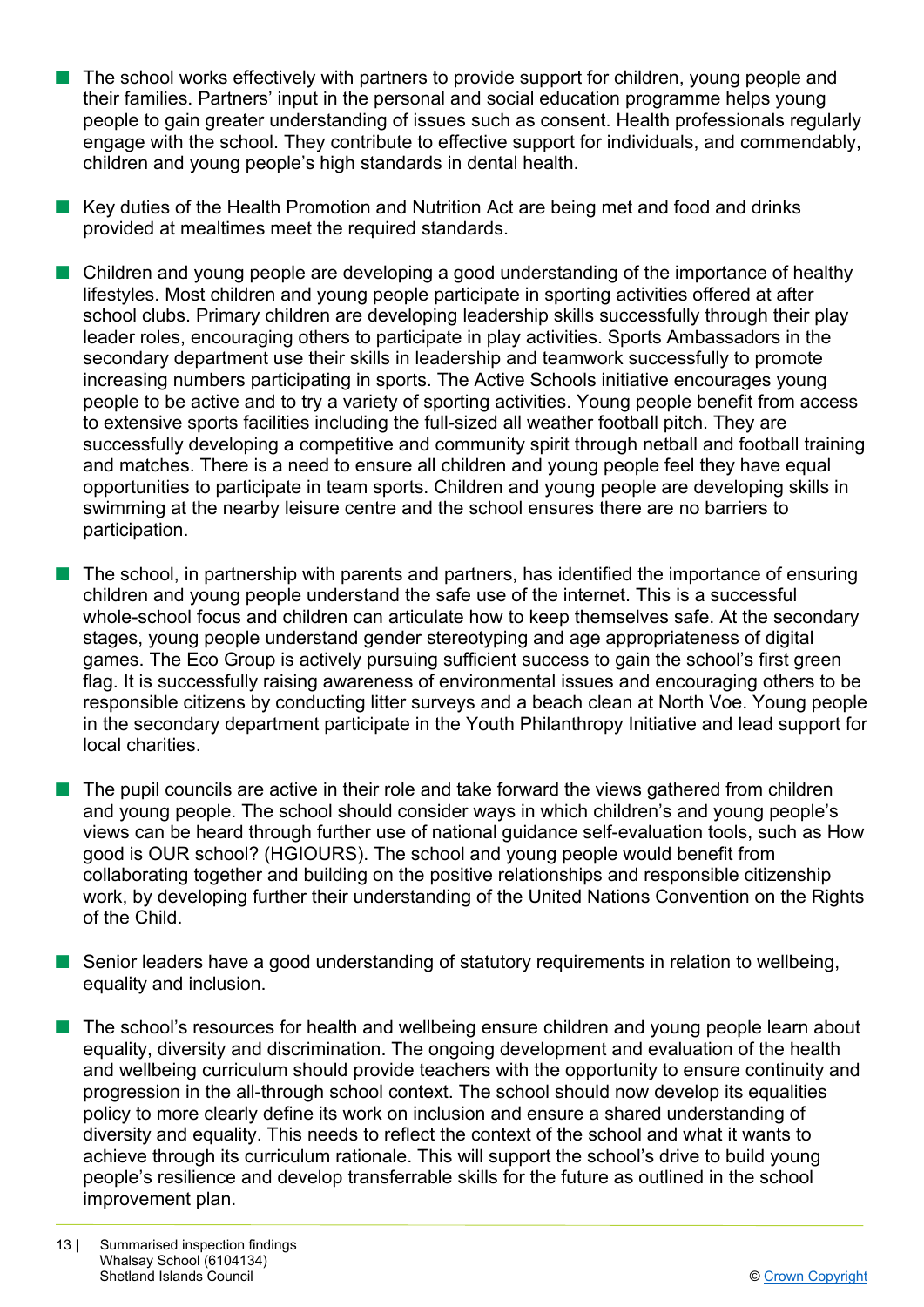- $\blacksquare$  The school works effectively with partners to provide support for children, young people and their families. Partners' input in the personal and social education programme helps young people to gain greater understanding of issues such as consent. Health professionals regularly engage with the school. They contribute to effective support for individuals, and commendably, children and young people's high standards in dental health.
- **n** Key duties of the Health Promotion and Nutrition Act are being met and food and drinks provided at mealtimes meet the required standards.
- $\blacksquare$  Children and young people are developing a good understanding of the importance of healthy lifestyles. Most children and young people participate in sporting activities offered at after school clubs. Primary children are developing leadership skills successfully through their play leader roles, encouraging others to participate in play activities. Sports Ambassadors in the secondary department use their skills in leadership and teamwork successfully to promote increasing numbers participating in sports. The Active Schools initiative encourages young people to be active and to try a variety of sporting activities. Young people benefit from access to extensive sports facilities including the full-sized all weather football pitch. They are successfully developing a competitive and community spirit through netball and football training and matches. There is a need to ensure all children and young people feel they have equal opportunities to participate in team sports. Children and young people are developing skills in swimming at the nearby leisure centre and the school ensures there are no barriers to participation.
- $\blacksquare$  The school, in partnership with parents and partners, has identified the importance of ensuring children and young people understand the safe use of the internet. This is a successful whole-school focus and children can articulate how to keep themselves safe. At the secondary stages, young people understand gender stereotyping and age appropriateness of digital games. The Eco Group is actively pursuing sufficient success to gain the school's first green flag. It is successfully raising awareness of environmental issues and encouraging others to be responsible citizens by conducting litter surveys and a beach clean at North Voe. Young people in the secondary department participate in the Youth Philanthropy Initiative and lead support for local charities.
- $\blacksquare$  The pupil councils are active in their role and take forward the views gathered from children and young people. The school should consider ways in which children's and young people's views can be heard through further use of national guidance self-evaluation tools, such as How good is OUR school? (HGIOURS). The school and young people would benefit from collaborating together and building on the positive relationships and responsible citizenship work, by developing further their understanding of the United Nations Convention on the Rights of the Child.
- $\blacksquare$  Senior leaders have a good understanding of statutory requirements in relation to wellbeing, equality and inclusion.
- The school's resources for health and wellbeing ensure children and young people learn about equality, diversity and discrimination. The ongoing development and evaluation of the health and wellbeing curriculum should provide teachers with the opportunity to ensure continuity and progression in the all-through school context. The school should now develop its equalities policy to more clearly define its work on inclusion and ensure a shared understanding of diversity and equality. This needs to reflect the context of the school and what it wants to achieve through its curriculum rationale. This will support the school's drive to build young people's resilience and develop transferrable skills for the future as outlined in the school improvement plan.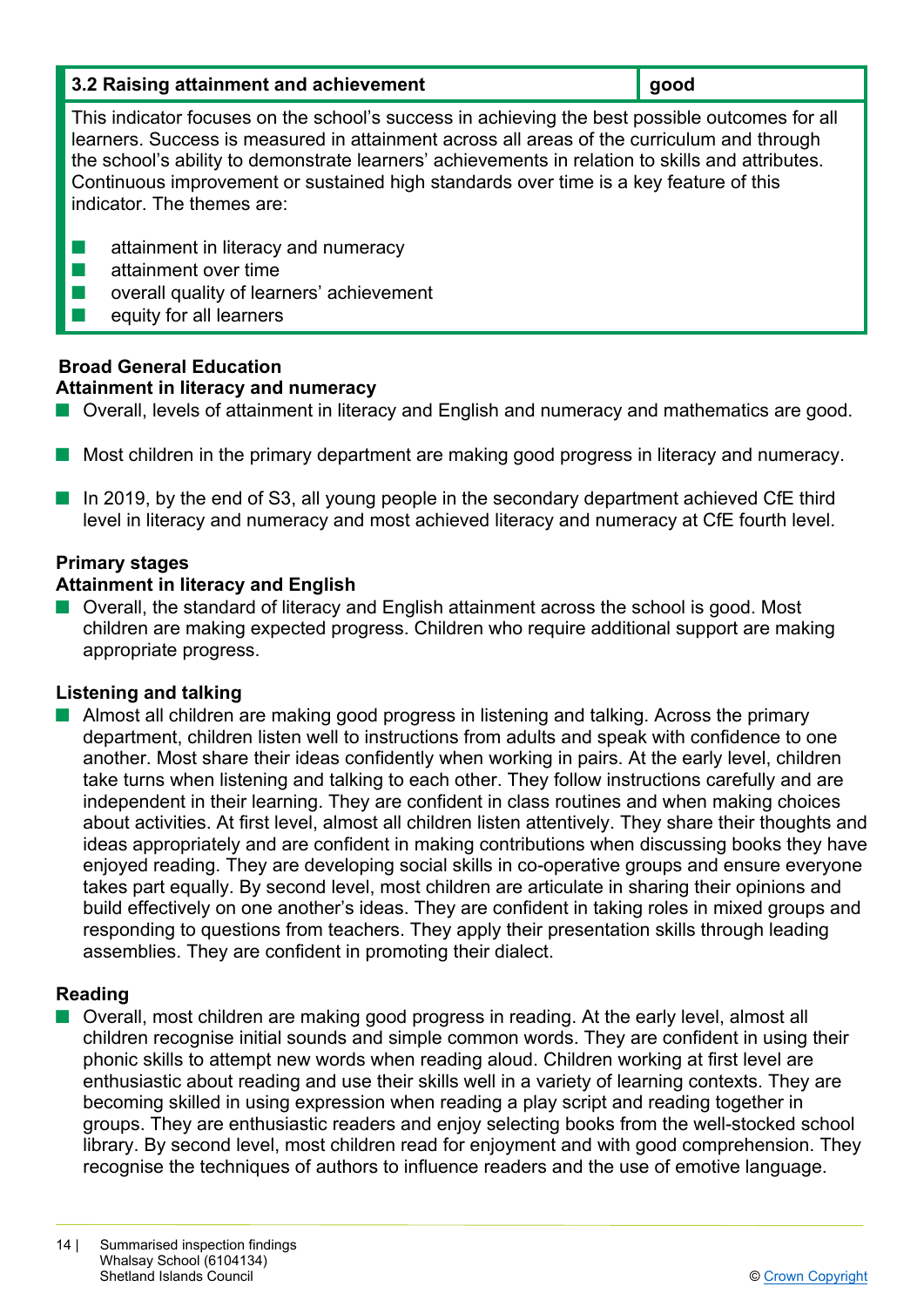| 3.2 Raising attainment and achievement | $\vert$ good |  |
|----------------------------------------|--------------|--|
|----------------------------------------|--------------|--|

This indicator focuses on the school's success in achieving the best possible outcomes for all learners. Success is measured in attainment across all areas of the curriculum and through the school's ability to demonstrate learners' achievements in relation to skills and attributes. Continuous improvement or sustained high standards over time is a key feature of this indicator. The themes are:

- $\blacksquare$  attainment in literacy and numeracy
- $\blacksquare$  attainment over time
- $\blacksquare$  overall quality of learners' achievement
- $\blacksquare$  equity for all learners

# **Broad General Education Attainment in literacy and numeracy**

- Overall, levels of attainment in literacy and English and numeracy and mathematics are good.
- **n** Most children in the primary department are making good progress in literacy and numeracy.
- In 2019, by the end of S3, all young people in the secondary department achieved CfE third level in literacy and numeracy and most achieved literacy and numeracy at CfE fourth level.

# **Primary stages**

# **Attainment in literacy and English**

■ Overall, the standard of literacy and English attainment across the school is good. Most children are making expected progress. Children who require additional support are making appropriate progress.

# **Listening and talking**

■ Almost all children are making good progress in listening and talking. Across the primary department, children listen well to instructions from adults and speak with confidence to one another. Most share their ideas confidently when working in pairs. At the early level, children take turns when listening and talking to each other. They follow instructions carefully and are independent in their learning. They are confident in class routines and when making choices about activities. At first level, almost all children listen attentively. They share their thoughts and ideas appropriately and are confident in making contributions when discussing books they have enjoyed reading. They are developing social skills in co-operative groups and ensure everyone takes part equally. By second level, most children are articulate in sharing their opinions and build effectively on one another's ideas. They are confident in taking roles in mixed groups and responding to questions from teachers. They apply their presentation skills through leading assemblies. They are confident in promoting their dialect.

# **Reading**

■ Overall, most children are making good progress in reading. At the early level, almost all children recognise initial sounds and simple common words. They are confident in using their phonic skills to attempt new words when reading aloud. Children working at first level are enthusiastic about reading and use their skills well in a variety of learning contexts. They are becoming skilled in using expression when reading a play script and reading together in groups. They are enthusiastic readers and enjoy selecting books from the well-stocked school library. By second level, most children read for enjoyment and with good comprehension. They recognise the techniques of authors to influence readers and the use of emotive language.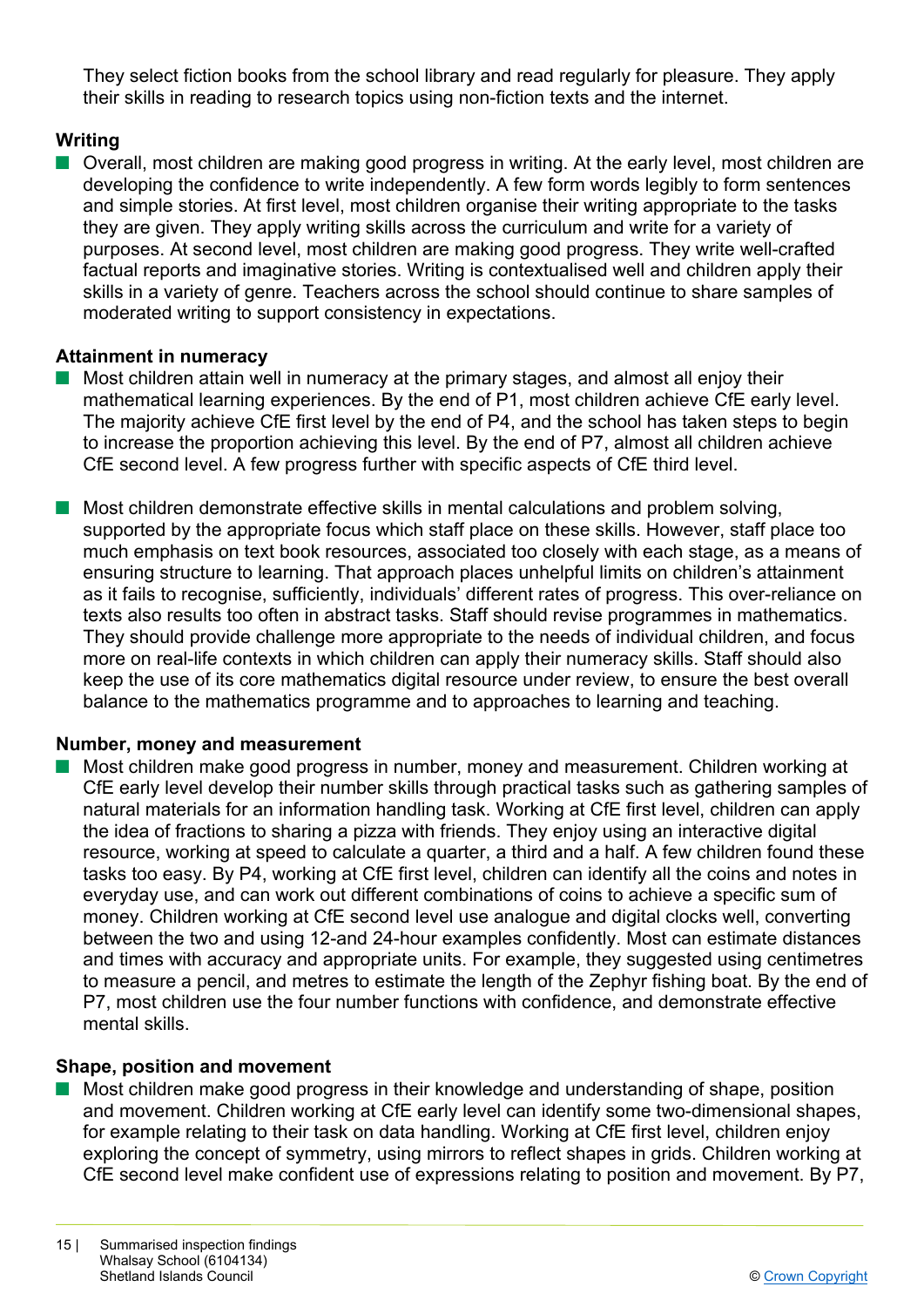They select fiction books from the school library and read regularly for pleasure. They apply their skills in reading to research topics using non-fiction texts and the internet.

# **Writing**

■ Overall, most children are making good progress in writing. At the early level, most children are developing the confidence to write independently. A few form words legibly to form sentences and simple stories. At first level, most children organise their writing appropriate to the tasks they are given. They apply writing skills across the curriculum and write for a variety of purposes. At second level, most children are making good progress. They write well-crafted factual reports and imaginative stories. Writing is contextualised well and children apply their skills in a variety of genre. Teachers across the school should continue to share samples of moderated writing to support consistency in expectations.

#### **Attainment in numeracy**

- Most children attain well in numeracy at the primary stages, and almost all enjoy their mathematical learning experiences. By the end of P1, most children achieve CfE early level. The majority achieve CfE first level by the end of P4, and the school has taken steps to begin to increase the proportion achieving this level. By the end of P7, almost all children achieve CfE second level. A few progress further with specific aspects of CfE third level.
- $\blacksquare$  Most children demonstrate effective skills in mental calculations and problem solving, supported by the appropriate focus which staff place on these skills. However, staff place too much emphasis on text book resources, associated too closely with each stage, as a means of ensuring structure to learning. That approach places unhelpful limits on children's attainment as it fails to recognise, sufficiently, individuals' different rates of progress. This over-reliance on texts also results too often in abstract tasks. Staff should revise programmes in mathematics. They should provide challenge more appropriate to the needs of individual children, and focus more on real-life contexts in which children can apply their numeracy skills. Staff should also keep the use of its core mathematics digital resource under review, to ensure the best overall balance to the mathematics programme and to approaches to learning and teaching.

#### **Number, money and measurement**

n Most children make good progress in number, money and measurement. Children working at CfE early level develop their number skills through practical tasks such as gathering samples of natural materials for an information handling task. Working at CfE first level, children can apply the idea of fractions to sharing a pizza with friends. They enjoy using an interactive digital resource, working at speed to calculate a quarter, a third and a half. A few children found these tasks too easy. By P4, working at CfE first level, children can identify all the coins and notes in everyday use, and can work out different combinations of coins to achieve a specific sum of money. Children working at CfE second level use analogue and digital clocks well, converting between the two and using 12-and 24-hour examples confidently. Most can estimate distances and times with accuracy and appropriate units. For example, they suggested using centimetres to measure a pencil, and metres to estimate the length of the Zephyr fishing boat. By the end of P7, most children use the four number functions with confidence, and demonstrate effective mental skills.

#### **Shape, position and movement**

n Most children make good progress in their knowledge and understanding of shape, position and movement. Children working at CfE early level can identify some two-dimensional shapes, for example relating to their task on data handling. Working at CfE first level, children enjoy exploring the concept of symmetry, using mirrors to reflect shapes in grids. Children working at CfE second level make confident use of expressions relating to position and movement. By P7,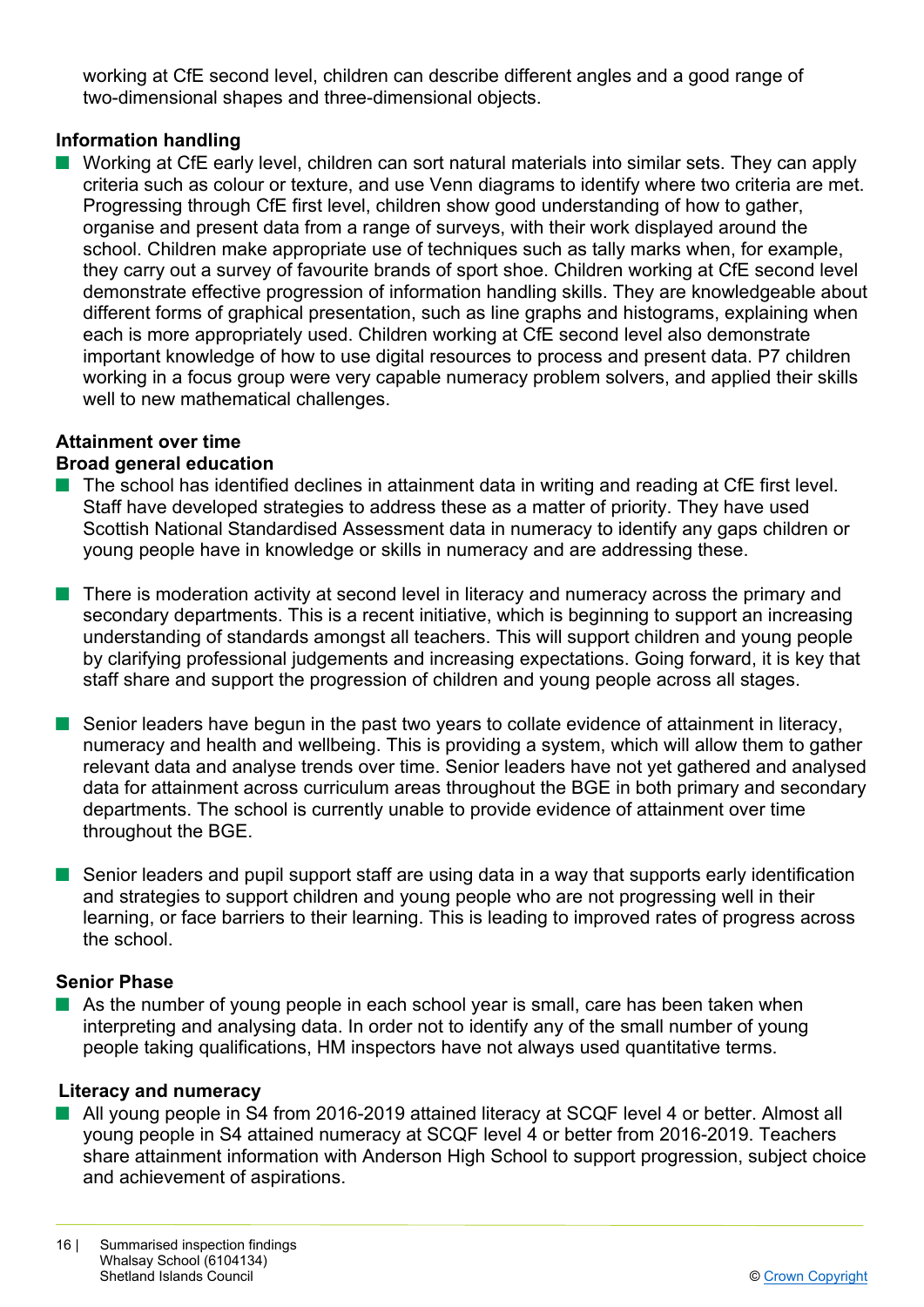working at CfE second level, children can describe different angles and a good range of two-dimensional shapes and three-dimensional objects.

## **Information handling**

 $\blacksquare$  Working at CfE early level, children can sort natural materials into similar sets. They can apply criteria such as colour or texture, and use Venn diagrams to identify where two criteria are met. Progressing through CfE first level, children show good understanding of how to gather, organise and present data from a range of surveys, with their work displayed around the school. Children make appropriate use of techniques such as tally marks when, for example, they carry out a survey of favourite brands of sport shoe. Children working at CfE second level demonstrate effective progression of information handling skills. They are knowledgeable about different forms of graphical presentation, such as line graphs and histograms, explaining when each is more appropriately used. Children working at CfE second level also demonstrate important knowledge of how to use digital resources to process and present data. P7 children working in a focus group were very capable numeracy problem solvers, and applied their skills well to new mathematical challenges.

# **Attainment over time**

#### **Broad general education**

- $\blacksquare$  The school has identified declines in attainment data in writing and reading at CfE first level. Staff have developed strategies to address these as a matter of priority. They have used Scottish National Standardised Assessment data in numeracy to identify any gaps children or young people have in knowledge or skills in numeracy and are addressing these.
- There is moderation activity at second level in literacy and numeracy across the primary and secondary departments. This is a recent initiative, which is beginning to support an increasing understanding of standards amongst all teachers. This will support children and young people by clarifying professional judgements and increasing expectations. Going forward, it is key that staff share and support the progression of children and young people across all stages.
- $\blacksquare$  Senior leaders have begun in the past two years to collate evidence of attainment in literacy, numeracy and health and wellbeing. This is providing a system, which will allow them to gather relevant data and analyse trends over time. Senior leaders have not yet gathered and analysed data for attainment across curriculum areas throughout the BGE in both primary and secondary departments. The school is currently unable to provide evidence of attainment over time throughout the BGE.
- $\blacksquare$  Senior leaders and pupil support staff are using data in a way that supports early identification and strategies to support children and young people who are not progressing well in their learning, or face barriers to their learning. This is leading to improved rates of progress across the school.

#### **Senior Phase**

 $\blacksquare$  As the number of young people in each school year is small, care has been taken when interpreting and analysing data. In order not to identify any of the small number of young people taking qualifications, HM inspectors have not always used quantitative terms.

#### **Literacy and numeracy**

■ All young people in S4 from 2016-2019 attained literacy at SCQF level 4 or better. Almost all young people in S4 attained numeracy at SCQF level 4 or better from 2016-2019. Teachers share attainment information with Anderson High School to support progression, subject choice and achievement of aspirations.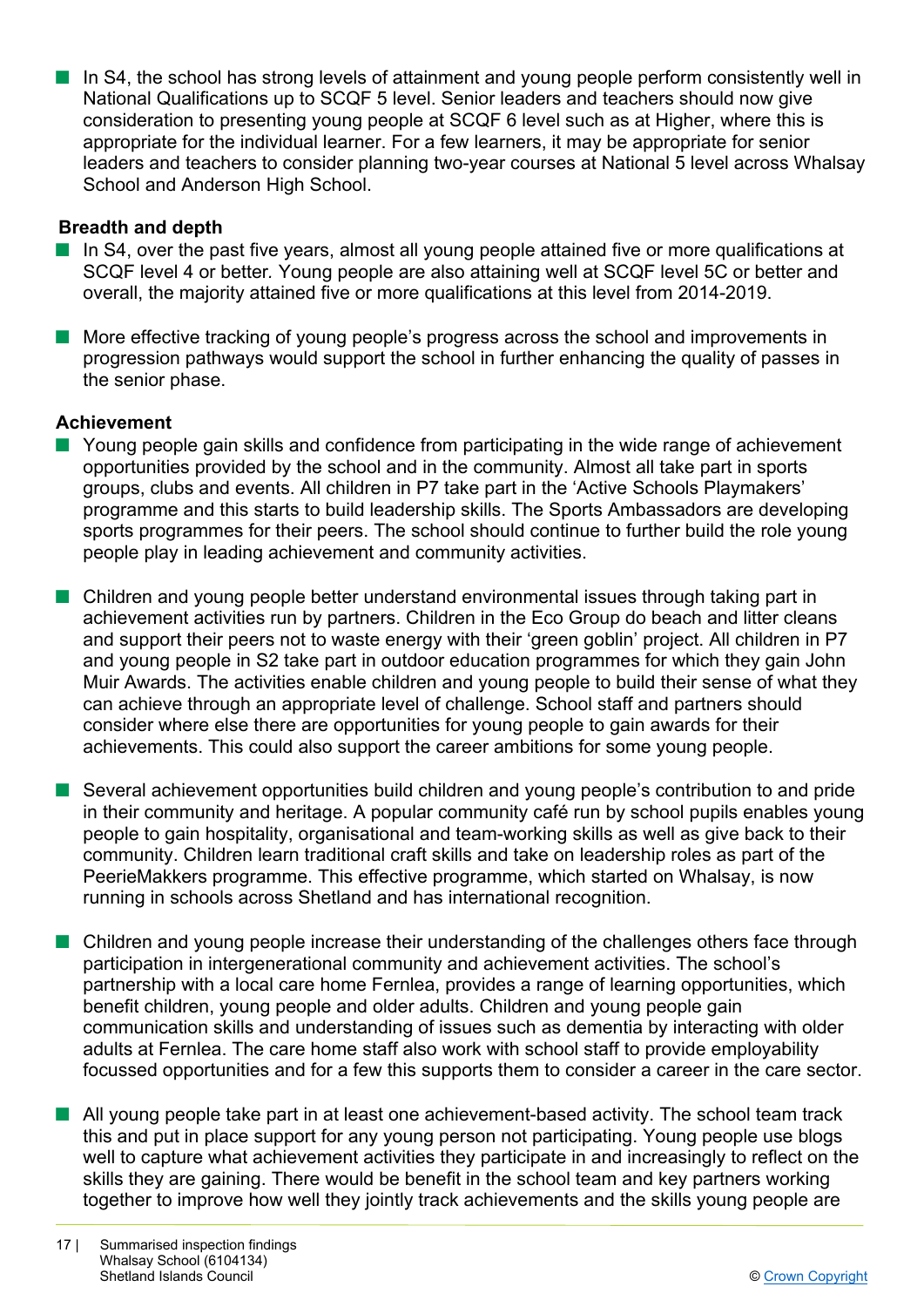**n** In S4, the school has strong levels of attainment and young people perform consistently well in National Qualifications up to SCQF 5 level. Senior leaders and teachers should now give consideration to presenting young people at SCQF 6 level such as at Higher, where this is appropriate for the individual learner. For a few learners, it may be appropriate for senior leaders and teachers to consider planning two-year courses at National 5 level across Whalsay School and Anderson High School.

# **Breadth and depth**

- $\blacksquare$  In S4, over the past five years, almost all young people attained five or more qualifications at SCQF level 4 or better*.* Young people are also attaining well at SCQF level 5C or better and overall, the majority attained five or more qualifications at this level from 2014-2019.
- More effective tracking of young people's progress across the school and improvements in progression pathways would support the school in further enhancing the quality of passes in the senior phase.

#### **Achievement**

- $\blacksquare$  Young people gain skills and confidence from participating in the wide range of achievement opportunities provided by the school and in the community. Almost all take part in sports groups, clubs and events. All children in P7 take part in the 'Active Schools Playmakers' programme and this starts to build leadership skills. The Sports Ambassadors are developing sports programmes for their peers. The school should continue to further build the role young people play in leading achievement and community activities.
- **n** Children and young people better understand environmental issues through taking part in achievement activities run by partners. Children in the Eco Group do beach and litter cleans and support their peers not to waste energy with their 'green goblin' project. All children in P7 and young people in S2 take part in outdoor education programmes for which they gain John Muir Awards. The activities enable children and young people to build their sense of what they can achieve through an appropriate level of challenge. School staff and partners should consider where else there are opportunities for young people to gain awards for their achievements. This could also support the career ambitions for some young people.
- Several achievement opportunities build children and young people's contribution to and pride in their community and heritage. A popular community café run by school pupils enables young people to gain hospitality, organisational and team-working skills as well as give back to their community. Children learn traditional craft skills and take on leadership roles as part of the PeerieMakkers programme. This effective programme, which started on Whalsay, is now running in schools across Shetland and has international recognition.
- Children and young people increase their understanding of the challenges others face through participation in intergenerational community and achievement activities. The school's partnership with a local care home Fernlea, provides a range of learning opportunities, which benefit children, young people and older adults. Children and young people gain communication skills and understanding of issues such as dementia by interacting with older adults at Fernlea. The care home staff also work with school staff to provide employability focussed opportunities and for a few this supports them to consider a career in the care sector.
- $\blacksquare$  All young people take part in at least one achievement-based activity. The school team track this and put in place support for any young person not participating. Young people use blogs well to capture what achievement activities they participate in and increasingly to reflect on the skills they are gaining. There would be benefit in the school team and key partners working together to improve how well they jointly track achievements and the skills young people are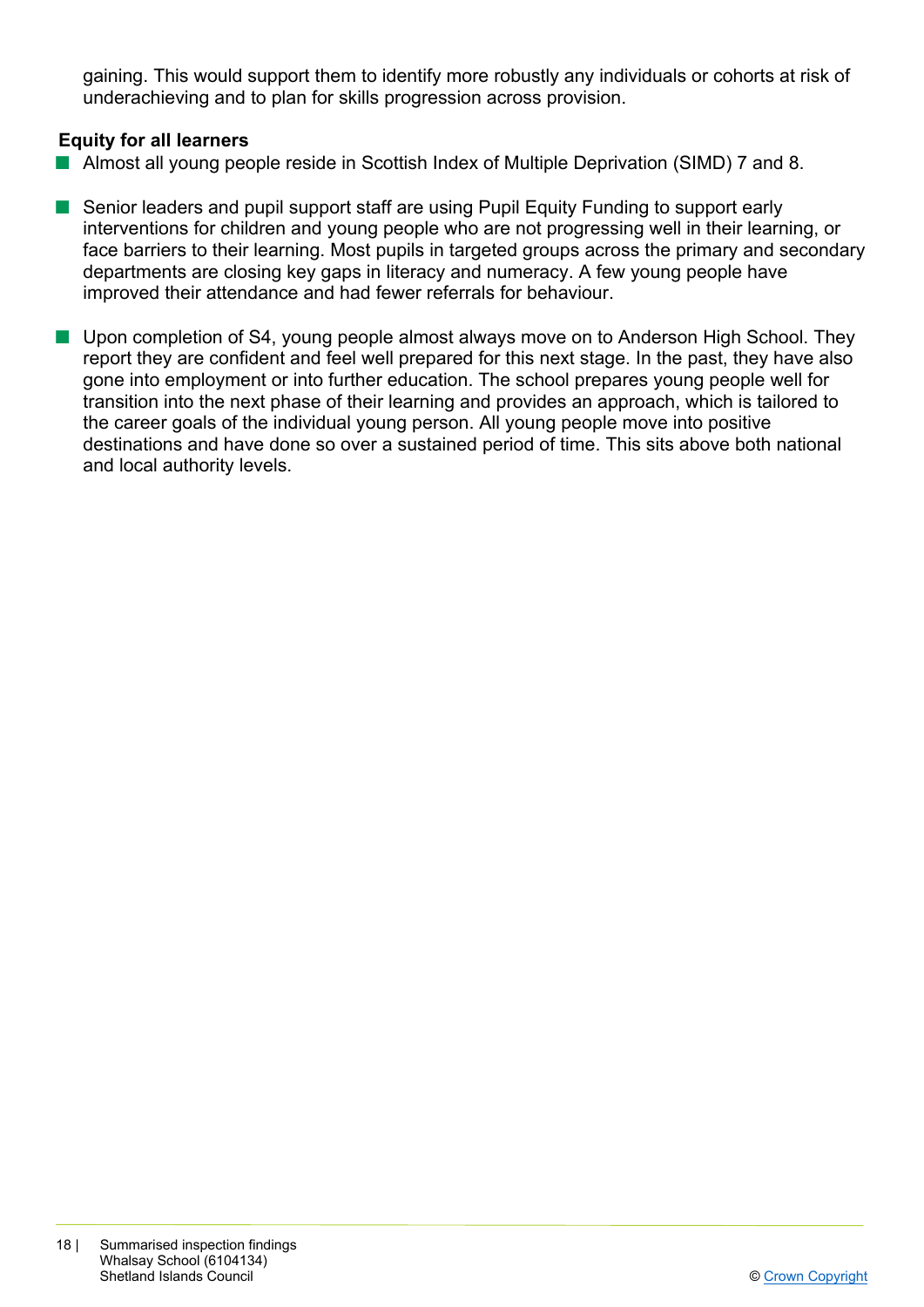gaining. This would support them to identify more robustly any individuals or cohorts at risk of underachieving and to plan for skills progression across provision.

## **Equity for all learners**

- Almost all young people reside in Scottish Index of Multiple Deprivation (SIMD) 7 and 8.
- Senior leaders and pupil support staff are using Pupil Equity Funding to support early interventions for children and young people who are not progressing well in their learning, or face barriers to their learning. Most pupils in targeted groups across the primary and secondary departments are closing key gaps in literacy and numeracy. A few young people have improved their attendance and had fewer referrals for behaviour.
- Upon completion of S4, young people almost always move on to Anderson High School. They report they are confident and feel well prepared for this next stage. In the past, they have also gone into employment or into further education. The school prepares young people well for transition into the next phase of their learning and provides an approach, which is tailored to the career goals of the individual young person. All young people move into positive destinations and have done so over a sustained period of time. This sits above both national and local authority levels.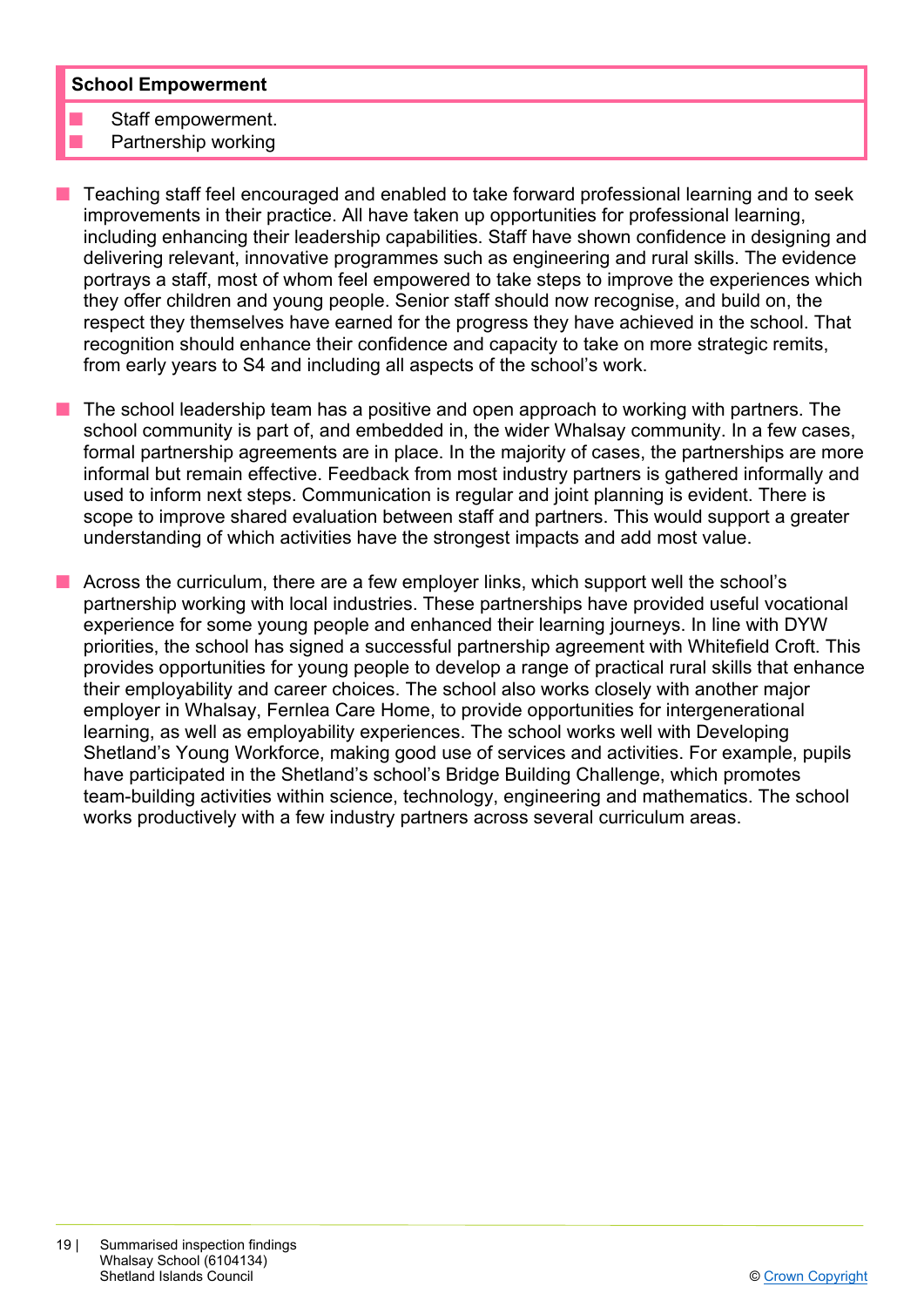#### **School Empowerment**

Staff empowerment. Partnership working

- n Teaching staff feel encouraged and enabled to take forward professional learning and to seek improvements in their practice. All have taken up opportunities for professional learning, including enhancing their leadership capabilities. Staff have shown confidence in designing and delivering relevant, innovative programmes such as engineering and rural skills. The evidence portrays a staff, most of whom feel empowered to take steps to improve the experiences which they offer children and young people. Senior staff should now recognise, and build on, the respect they themselves have earned for the progress they have achieved in the school. That recognition should enhance their confidence and capacity to take on more strategic remits, from early years to S4 and including all aspects of the school's work.
- n The school leadership team has a positive and open approach to working with partners. The school community is part of, and embedded in, the wider Whalsay community. In a few cases, formal partnership agreements are in place. In the majority of cases, the partnerships are more informal but remain effective. Feedback from most industry partners is gathered informally and used to inform next steps. Communication is regular and joint planning is evident. There is scope to improve shared evaluation between staff and partners. This would support a greater understanding of which activities have the strongest impacts and add most value.
- n Across the curriculum, there are a few employer links, which support well the school's partnership working with local industries. These partnerships have provided useful vocational experience for some young people and enhanced their learning journeys. In line with DYW priorities, the school has signed a successful partnership agreement with Whitefield Croft. This provides opportunities for young people to develop a range of practical rural skills that enhance their employability and career choices. The school also works closely with another major employer in Whalsay, Fernlea Care Home, to provide opportunities for intergenerational learning, as well as employability experiences. The school works well with Developing Shetland's Young Workforce, making good use of services and activities. For example, pupils have participated in the Shetland's school's Bridge Building Challenge, which promotes team-building activities within science, technology, engineering and mathematics. The school works productively with a few industry partners across several curriculum areas.